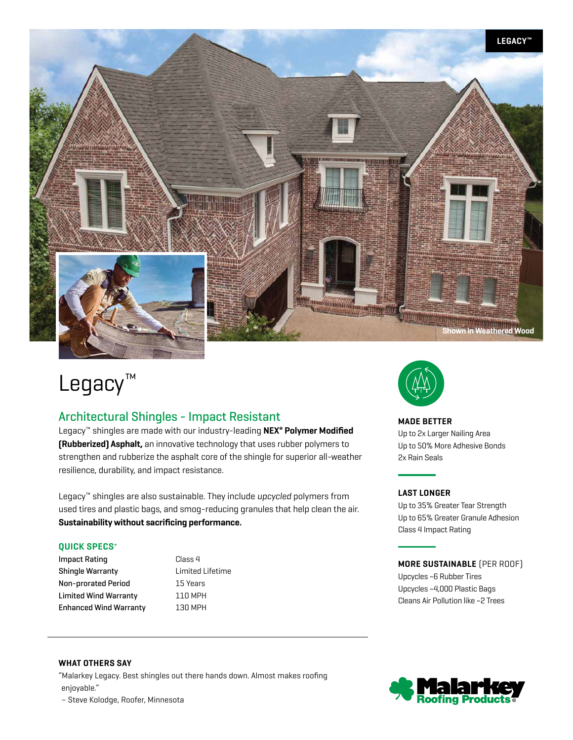

# Legacy™

## Architectural Shingles - Impact Resistant

Legacy™ shingles are made with our industry-leading **NEX® Polymer Modified (Rubberized) Asphalt,** an innovative technology that uses rubber polymers to strengthen and rubberize the asphalt core of the shingle for superior all-weather resilience, durability, and impact resistance.

Legacy™ shingles are also sustainable. They include *upcycled* polymers from used tires and plastic bags, and smog-reducing granules that help clean the air. **Sustainability without sacrificing performance.**

#### **QUICK SPECS+**

Impact Rating **Class 4** Shingle Warranty Limited Lifetime Non-prorated Period 15 Years Limited Wind Warranty **110 MPH** Enhanced Wind Warranty 130 MPH



## **MADE BETTER**

Up to 2x Larger Nailing Area Up to 50% More Adhesive Bonds 2x Rain Seals

### **LAST LONGER**

Up to 35% Greater Tear Strength Up to 65% Greater Granule Adhesion Class 4 Impact Rating

## **MORE SUSTAINABLE** (PER ROOF)

Upcycles ~6 Rubber Tires Upcycles ~4,000 Plastic Bags Cleans Air Pollution like ~2 Trees

## **WHAT OTHERS SAY**

"Malarkey Legacy. Best shingles out there hands down. Almost makes roofing enjoyable."

– Steve Kolodge, Roofer, Minnesota